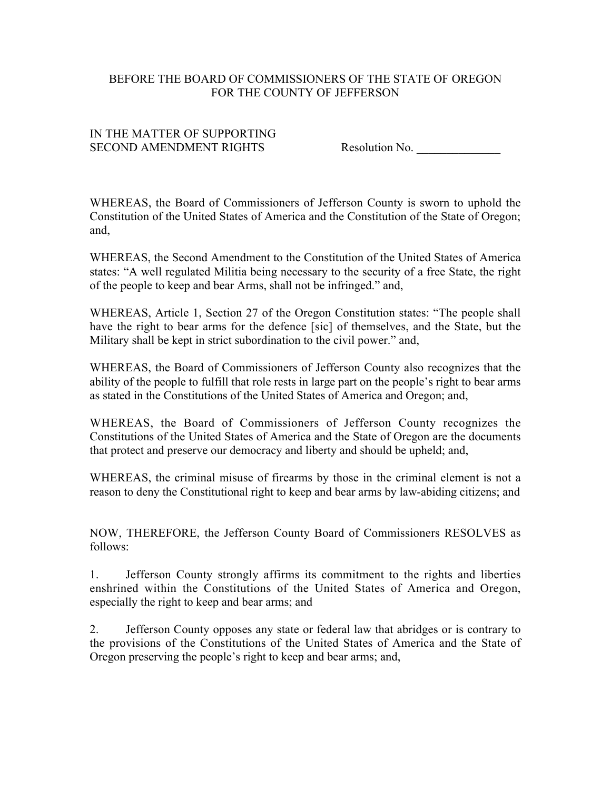## BEFORE THE BOARD OF COMMISSIONERS OF THE STATE OF OREGON FOR THE COUNTY OF JEFFERSON

## IN THE MATTER OF SUPPORTING SECOND AMENDMENT RIGHTS Resolution No.

WHEREAS, the Board of Commissioners of Jefferson County is sworn to uphold the Constitution of the United States of America and the Constitution of the State of Oregon; and,

WHEREAS, the Second Amendment to the Constitution of the United States of America states: "A well regulated Militia being necessary to the security of a free State, the right of the people to keep and bear Arms, shall not be infringed." and,

WHEREAS, Article 1, Section 27 of the Oregon Constitution states: "The people shall have the right to bear arms for the defence [sic] of themselves, and the State, but the Military shall be kept in strict subordination to the civil power." and,

WHEREAS, the Board of Commissioners of Jefferson County also recognizes that the ability of the people to fulfill that role rests in large part on the people's right to bear arms as stated in the Constitutions of the United States of America and Oregon; and,

WHEREAS, the Board of Commissioners of Jefferson County recognizes the Constitutions of the United States of America and the State of Oregon are the documents that protect and preserve our democracy and liberty and should be upheld; and,

WHEREAS, the criminal misuse of firearms by those in the criminal element is not a reason to deny the Constitutional right to keep and bear arms by law-abiding citizens; and

NOW, THEREFORE, the Jefferson County Board of Commissioners RESOLVES as follows:

1. Jefferson County strongly affirms its commitment to the rights and liberties enshrined within the Constitutions of the United States of America and Oregon, especially the right to keep and bear arms; and

2. Jefferson County opposes any state or federal law that abridges or is contrary to the provisions of the Constitutions of the United States of America and the State of Oregon preserving the people's right to keep and bear arms; and,